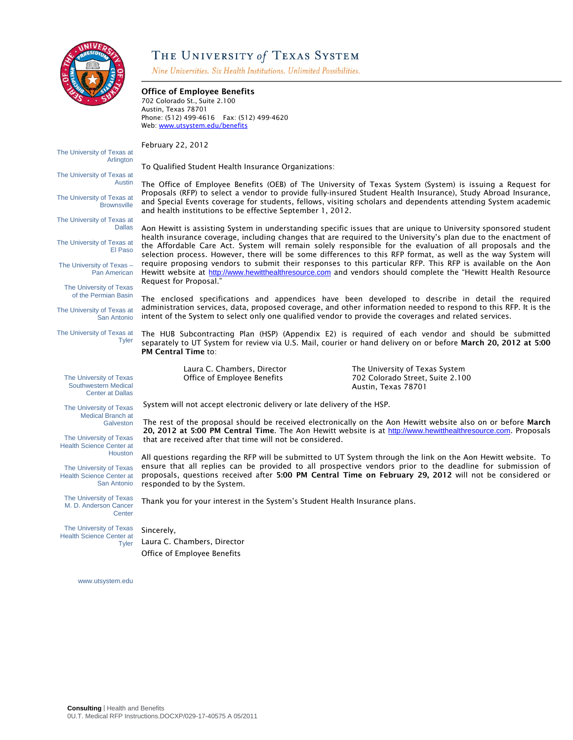

# THE UNIVERSITY of TEXAS SYSTEM

Nine Universities. Six Health Institutions. Unlimited Possibilities.

#### Office of Employee Benefits 702 Colorado St., Suite 2.100 Austin, Texas 78701 Phone: (512) 499-4616 Fax: (512) 499-4620 Web: www.utsystem.edu/benefits The University of Texas at Arlington The University of Texas at Austin The University of Texas at Brownsville The University of Texas at Dallas The University of Texas at El Paso The University of Texas – Pan American The University of Texas of the Permian Basin The University of Texas at San Antonio The University of Texas at **Tyler** The University of Texas Southwestern Medical Center at Dallas The University of Texas Medical Branch at **Galveston** The University of Texas Health Science Center at Houston The University of Texas Health Science Center at San Antonio The University of Texas M. D. Anderson Cancer **Center** February 22, 2012 To Qualified Student Health Insurance Organizations: The Office of Employee Benefits (OEB) of The University of Texas System (System) is issuing a Request for Proposals (RFP) to select a vendor to provide fully-insured Student Health Insurance), Study Abroad Insurance, and Special Events coverage for students, fellows, visiting scholars and dependents attending System academic and health institutions to be effective September 1, 2012. Aon Hewitt is assisting System in understanding specific issues that are unique to University sponsored student health insurance coverage, including changes that are required to the University's plan due to the enactment of the Affordable Care Act. System will remain solely responsible for the evaluation of all proposals and the selection process. However, there will be some differences to this RFP format, as well as the way System will require proposing vendors to submit their responses to this particular RFP. This RFP is available on the Aon Hewitt website at http://www.hewitthealthresource.com and vendors should complete the "Hewitt Health Resource Request for Proposal." The enclosed specifications and appendices have been developed to describe in detail the required administration services, data, proposed coverage, and other information needed to respond to this RFP. It is the intent of the System to select only one qualified vendor to provide the coverages and related services. The HUB Subcontracting Plan (HSP) (Appendix E2) is required of each vendor and should be submitted separately to UT System for review via U.S. Mail, courier or hand delivery on or before March 20, 2012 at 5:00 PM Central Time to: Laura C. Chambers, Director The University of Texas System Office of Employee Benefits 702 Colorado Street, Suite 2.100 Austin, Texas 78701 System will not accept electronic delivery or late delivery of the HSP. The rest of the proposal should be received electronically on the Aon Hewitt website also on or before March 20, 2012 at 5:00 PM Central Time. The Aon Hewitt website is at http://www.hewitthealthresource.com. Proposals that are received after that time will not be considered. All questions regarding the RFP will be submitted to UT System through the link on the Aon Hewitt website. To ensure that all replies can be provided to all prospective vendors prior to the deadline for submission of proposals, questions received after 5:00 PM Central Time on February 29, 2012 will not be considered or responded to by the System. Thank you for your interest in the System's Student Health Insurance plans. Sincerely,

The University of Texas Health Science Center at **Tyler** 

Laura C. Chambers, Director Office of Employee Benefits

www.utsystem.edu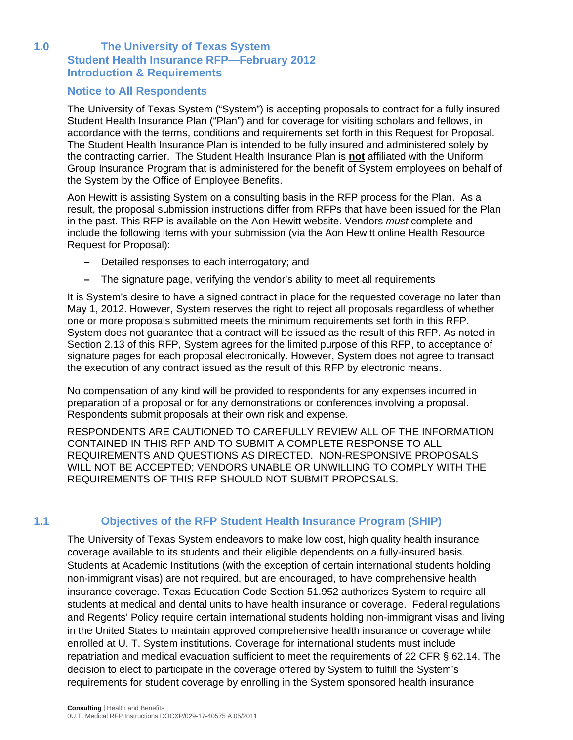### **1.0 The University of Texas System Student Health Insurance RFP—February 2012 Introduction & Requirements**

### **Notice to All Respondents**

The University of Texas System ("System") is accepting proposals to contract for a fully insured Student Health Insurance Plan ("Plan") and for coverage for visiting scholars and fellows, in accordance with the terms, conditions and requirements set forth in this Request for Proposal. The Student Health Insurance Plan is intended to be fully insured and administered solely by the contracting carrier. The Student Health Insurance Plan is **not** affiliated with the Uniform Group Insurance Program that is administered for the benefit of System employees on behalf of the System by the Office of Employee Benefits.

Aon Hewitt is assisting System on a consulting basis in the RFP process for the Plan. As a result, the proposal submission instructions differ from RFPs that have been issued for the Plan in the past. This RFP is available on the Aon Hewitt website. Vendors *must* complete and include the following items with your submission (via the Aon Hewitt online Health Resource Request for Proposal):

- Detailed responses to each interrogatory; and
- The signature page, verifying the vendor's ability to meet all requirements

It is System's desire to have a signed contract in place for the requested coverage no later than May 1, 2012. However, System reserves the right to reject all proposals regardless of whether one or more proposals submitted meets the minimum requirements set forth in this RFP. System does not guarantee that a contract will be issued as the result of this RFP. As noted in Section 2.13 of this RFP, System agrees for the limited purpose of this RFP, to acceptance of signature pages for each proposal electronically. However, System does not agree to transact the execution of any contract issued as the result of this RFP by electronic means.

No compensation of any kind will be provided to respondents for any expenses incurred in preparation of a proposal or for any demonstrations or conferences involving a proposal. Respondents submit proposals at their own risk and expense.

RESPONDENTS ARE CAUTIONED TO CAREFULLY REVIEW ALL OF THE INFORMATION CONTAINED IN THIS RFP AND TO SUBMIT A COMPLETE RESPONSE TO ALL REQUIREMENTS AND QUESTIONS AS DIRECTED. NON-RESPONSIVE PROPOSALS WILL NOT BE ACCEPTED; VENDORS UNABLE OR UNWILLING TO COMPLY WITH THE REQUIREMENTS OF THIS RFP SHOULD NOT SUBMIT PROPOSALS.

# **1.1 Objectives of the RFP Student Health Insurance Program (SHIP)**

The University of Texas System endeavors to make low cost, high quality health insurance coverage available to its students and their eligible dependents on a fully-insured basis. Students at Academic Institutions (with the exception of certain international students holding non-immigrant visas) are not required, but are encouraged, to have comprehensive health insurance coverage. Texas Education Code Section 51.952 authorizes System to require all students at medical and dental units to have health insurance or coverage. Federal regulations and Regents' Policy require certain international students holding non-immigrant visas and living in the United States to maintain approved comprehensive health insurance or coverage while enrolled at U. T. System institutions. Coverage for international students must include repatriation and medical evacuation sufficient to meet the requirements of 22 CFR § 62.14. The decision to elect to participate in the coverage offered by System to fulfill the System's requirements for student coverage by enrolling in the System sponsored health insurance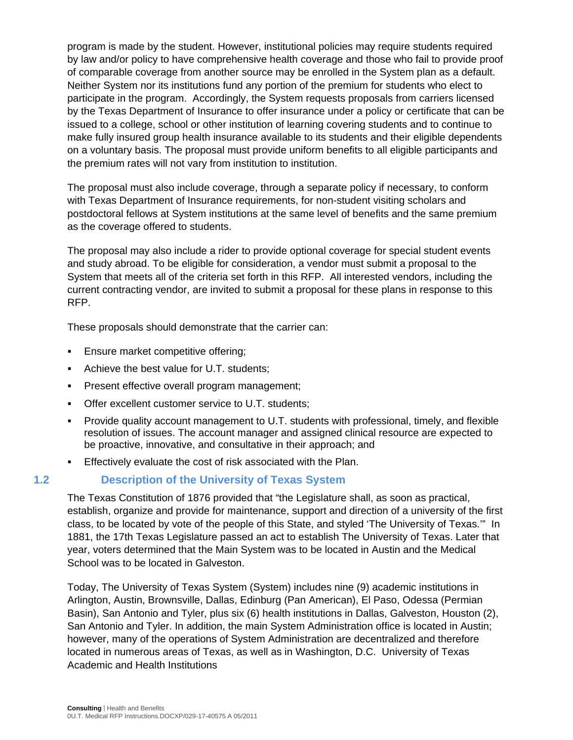program is made by the student. However, institutional policies may require students required by law and/or policy to have comprehensive health coverage and those who fail to provide proof of comparable coverage from another source may be enrolled in the System plan as a default. Neither System nor its institutions fund any portion of the premium for students who elect to participate in the program. Accordingly, the System requests proposals from carriers licensed by the Texas Department of Insurance to offer insurance under a policy or certificate that can be issued to a college, school or other institution of learning covering students and to continue to make fully insured group health insurance available to its students and their eligible dependents on a voluntary basis. The proposal must provide uniform benefits to all eligible participants and the premium rates will not vary from institution to institution.

The proposal must also include coverage, through a separate policy if necessary, to conform with Texas Department of Insurance requirements, for non-student visiting scholars and postdoctoral fellows at System institutions at the same level of benefits and the same premium as the coverage offered to students.

The proposal may also include a rider to provide optional coverage for special student events and study abroad. To be eligible for consideration, a vendor must submit a proposal to the System that meets all of the criteria set forth in this RFP. All interested vendors, including the current contracting vendor, are invited to submit a proposal for these plans in response to this RFP.

These proposals should demonstrate that the carrier can:

- Ensure market competitive offering;
- Achieve the best value for U.T. students;
- Present effective overall program management;
- **Offer excellent customer service to U.T. students;**
- Provide quality account management to U.T. students with professional, timely, and flexible resolution of issues. The account manager and assigned clinical resource are expected to be proactive, innovative, and consultative in their approach; and
- Effectively evaluate the cost of risk associated with the Plan.

# **1.2 Description of the University of Texas System**

The Texas Constitution of 1876 provided that "the Legislature shall, as soon as practical, establish, organize and provide for maintenance, support and direction of a university of the first class, to be located by vote of the people of this State, and styled 'The University of Texas.'" In 1881, the 17th Texas Legislature passed an act to establish The University of Texas. Later that year, voters determined that the Main System was to be located in Austin and the Medical School was to be located in Galveston.

Today, The University of Texas System (System) includes nine (9) academic institutions in Arlington, Austin, Brownsville, Dallas, Edinburg (Pan American), El Paso, Odessa (Permian Basin), San Antonio and Tyler, plus six (6) health institutions in Dallas, Galveston, Houston (2), San Antonio and Tyler. In addition, the main System Administration office is located in Austin; however, many of the operations of System Administration are decentralized and therefore located in numerous areas of Texas, as well as in Washington, D.C. University of Texas Academic and Health Institutions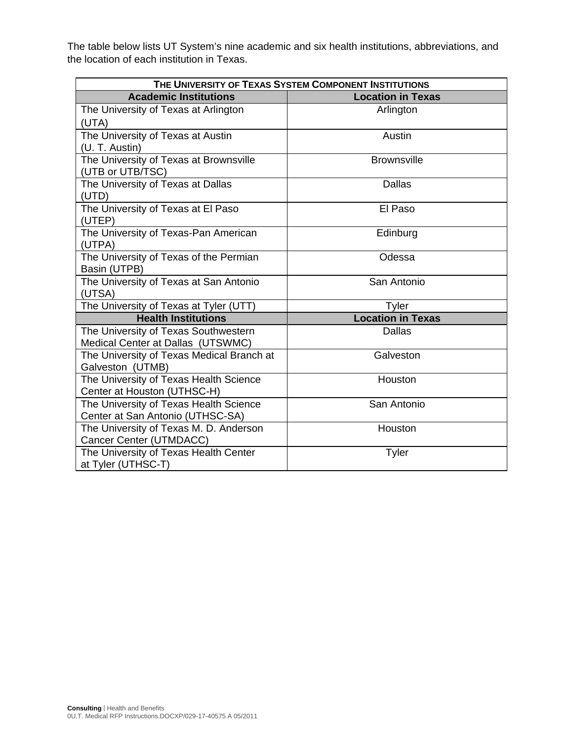The table below lists UT System's nine academic and six health institutions, abbreviations, and the location of each institution in Texas.

| THE UNIVERSITY OF TEXAS SYSTEM COMPONENT INSTITUTIONS |  |  |  |  |
|-------------------------------------------------------|--|--|--|--|
| <b>Location in Texas</b>                              |  |  |  |  |
| Arlington                                             |  |  |  |  |
|                                                       |  |  |  |  |
| Austin                                                |  |  |  |  |
|                                                       |  |  |  |  |
| <b>Brownsville</b>                                    |  |  |  |  |
| <b>Dallas</b>                                         |  |  |  |  |
|                                                       |  |  |  |  |
| El Paso                                               |  |  |  |  |
| Edinburg                                              |  |  |  |  |
| Odessa                                                |  |  |  |  |
| San Antonio                                           |  |  |  |  |
| Tyler                                                 |  |  |  |  |
| <b>Location in Texas</b>                              |  |  |  |  |
| <b>Dallas</b>                                         |  |  |  |  |
| Galveston                                             |  |  |  |  |
| Houston                                               |  |  |  |  |
|                                                       |  |  |  |  |
| San Antonio                                           |  |  |  |  |
|                                                       |  |  |  |  |
| Houston                                               |  |  |  |  |
|                                                       |  |  |  |  |
| Tyler                                                 |  |  |  |  |
|                                                       |  |  |  |  |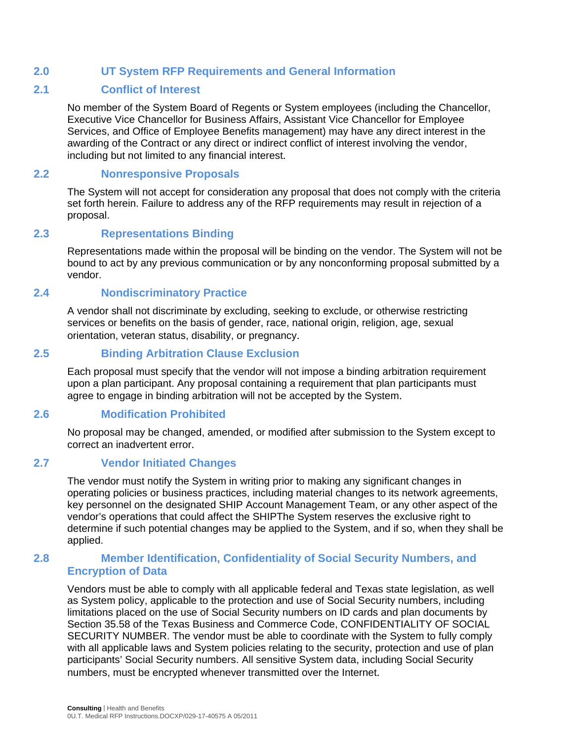# **2.0 UT System RFP Requirements and General Information**

### **2.1 Conflict of Interest**

No member of the System Board of Regents or System employees (including the Chancellor, Executive Vice Chancellor for Business Affairs, Assistant Vice Chancellor for Employee Services, and Office of Employee Benefits management) may have any direct interest in the awarding of the Contract or any direct or indirect conflict of interest involving the vendor, including but not limited to any financial interest.

## **2.2 Nonresponsive Proposals**

The System will not accept for consideration any proposal that does not comply with the criteria set forth herein. Failure to address any of the RFP requirements may result in rejection of a proposal.

# **2.3 Representations Binding**

Representations made within the proposal will be binding on the vendor. The System will not be bound to act by any previous communication or by any nonconforming proposal submitted by a vendor.

# **2.4 Nondiscriminatory Practice**

A vendor shall not discriminate by excluding, seeking to exclude, or otherwise restricting services or benefits on the basis of gender, race, national origin, religion, age, sexual orientation, veteran status, disability, or pregnancy.

### **2.5 Binding Arbitration Clause Exclusion**

Each proposal must specify that the vendor will not impose a binding arbitration requirement upon a plan participant. Any proposal containing a requirement that plan participants must agree to engage in binding arbitration will not be accepted by the System.

# **2.6 Modification Prohibited**

No proposal may be changed, amended, or modified after submission to the System except to correct an inadvertent error.

### **2.7 Vendor Initiated Changes**

The vendor must notify the System in writing prior to making any significant changes in operating policies or business practices, including material changes to its network agreements, key personnel on the designated SHIP Account Management Team, or any other aspect of the vendor's operations that could affect the SHIPThe System reserves the exclusive right to determine if such potential changes may be applied to the System, and if so, when they shall be applied.

### **2.8 Member Identification, Confidentiality of Social Security Numbers, and Encryption of Data**

Vendors must be able to comply with all applicable federal and Texas state legislation, as well as System policy, applicable to the protection and use of Social Security numbers, including limitations placed on the use of Social Security numbers on ID cards and plan documents by Section 35.58 of the Texas Business and Commerce Code, CONFIDENTIALITY OF SOCIAL SECURITY NUMBER. The vendor must be able to coordinate with the System to fully comply with all applicable laws and System policies relating to the security, protection and use of plan participants' Social Security numbers. All sensitive System data, including Social Security numbers, must be encrypted whenever transmitted over the Internet.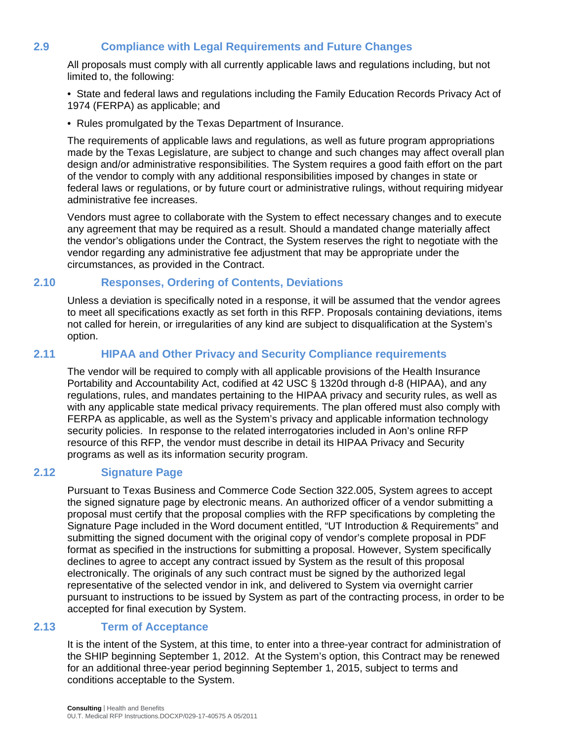# **2.9 Compliance with Legal Requirements and Future Changes**

All proposals must comply with all currently applicable laws and regulations including, but not limited to, the following:

• State and federal laws and regulations including the Family Education Records Privacy Act of 1974 (FERPA) as applicable; and

• Rules promulgated by the Texas Department of Insurance.

The requirements of applicable laws and regulations, as well as future program appropriations made by the Texas Legislature, are subject to change and such changes may affect overall plan design and/or administrative responsibilities. The System requires a good faith effort on the part of the vendor to comply with any additional responsibilities imposed by changes in state or federal laws or regulations, or by future court or administrative rulings, without requiring midyear administrative fee increases.

Vendors must agree to collaborate with the System to effect necessary changes and to execute any agreement that may be required as a result. Should a mandated change materially affect the vendor's obligations under the Contract, the System reserves the right to negotiate with the vendor regarding any administrative fee adjustment that may be appropriate under the circumstances, as provided in the Contract.

### **2.10 Responses, Ordering of Contents, Deviations**

Unless a deviation is specifically noted in a response, it will be assumed that the vendor agrees to meet all specifications exactly as set forth in this RFP. Proposals containing deviations, items not called for herein, or irregularities of any kind are subject to disqualification at the System's option.

### **2.11 HIPAA and Other Privacy and Security Compliance requirements**

The vendor will be required to comply with all applicable provisions of the Health Insurance Portability and Accountability Act, codified at 42 USC § 1320d through d-8 (HIPAA), and any regulations, rules, and mandates pertaining to the HIPAA privacy and security rules, as well as with any applicable state medical privacy requirements. The plan offered must also comply with FERPA as applicable, as well as the System's privacy and applicable information technology security policies. In response to the related interrogatories included in Aon's online RFP resource of this RFP, the vendor must describe in detail its HIPAA Privacy and Security programs as well as its information security program.

### **2.12 Signature Page**

Pursuant to Texas Business and Commerce Code Section 322.005, System agrees to accept the signed signature page by electronic means. An authorized officer of a vendor submitting a proposal must certify that the proposal complies with the RFP specifications by completing the Signature Page included in the Word document entitled, "UT Introduction & Requirements" and submitting the signed document with the original copy of vendor's complete proposal in PDF format as specified in the instructions for submitting a proposal. However, System specifically declines to agree to accept any contract issued by System as the result of this proposal electronically. The originals of any such contract must be signed by the authorized legal representative of the selected vendor in ink, and delivered to System via overnight carrier pursuant to instructions to be issued by System as part of the contracting process, in order to be accepted for final execution by System.

### **2.13 Term of Acceptance**

It is the intent of the System, at this time, to enter into a three-year contract for administration of the SHIP beginning September 1, 2012. At the System's option, this Contract may be renewed for an additional three-year period beginning September 1, 2015, subject to terms and conditions acceptable to the System.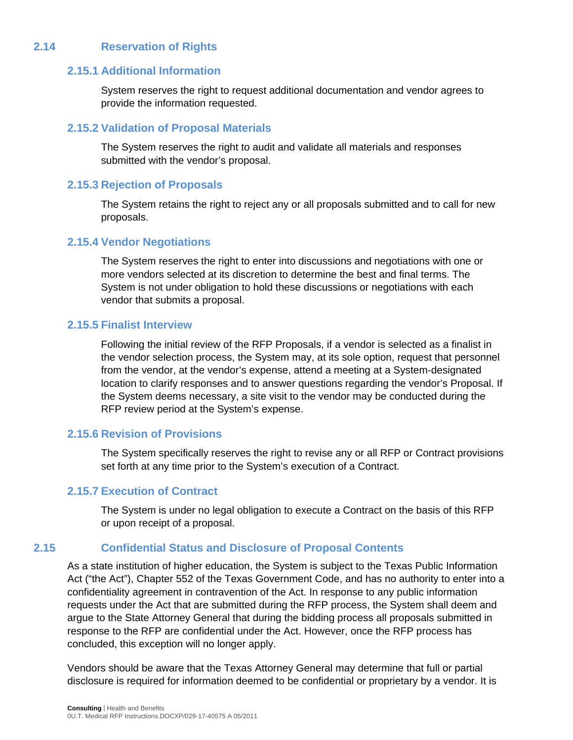# **2.14 Reservation of Rights**

### **2.15.1 Additional Information**

System reserves the right to request additional documentation and vendor agrees to provide the information requested.

### **2.15.2 Validation of Proposal Materials**

The System reserves the right to audit and validate all materials and responses submitted with the vendor's proposal.

#### **2.15.3 Rejection of Proposals**

The System retains the right to reject any or all proposals submitted and to call for new proposals.

### **2.15.4 Vendor Negotiations**

The System reserves the right to enter into discussions and negotiations with one or more vendors selected at its discretion to determine the best and final terms. The System is not under obligation to hold these discussions or negotiations with each vendor that submits a proposal.

### **2.15.5 Finalist Interview**

Following the initial review of the RFP Proposals, if a vendor is selected as a finalist in the vendor selection process, the System may, at its sole option, request that personnel from the vendor, at the vendor's expense, attend a meeting at a System-designated location to clarify responses and to answer questions regarding the vendor's Proposal. If the System deems necessary, a site visit to the vendor may be conducted during the RFP review period at the System's expense.

### **2.15.6 Revision of Provisions**

The System specifically reserves the right to revise any or all RFP or Contract provisions set forth at any time prior to the System's execution of a Contract.

### **2.15.7 Execution of Contract**

The System is under no legal obligation to execute a Contract on the basis of this RFP or upon receipt of a proposal.

### **2.15 Confidential Status and Disclosure of Proposal Contents**

As a state institution of higher education, the System is subject to the Texas Public Information Act ("the Act"), Chapter 552 of the Texas Government Code, and has no authority to enter into a confidentiality agreement in contravention of the Act. In response to any public information requests under the Act that are submitted during the RFP process, the System shall deem and argue to the State Attorney General that during the bidding process all proposals submitted in response to the RFP are confidential under the Act. However, once the RFP process has concluded, this exception will no longer apply.

Vendors should be aware that the Texas Attorney General may determine that full or partial disclosure is required for information deemed to be confidential or proprietary by a vendor. It is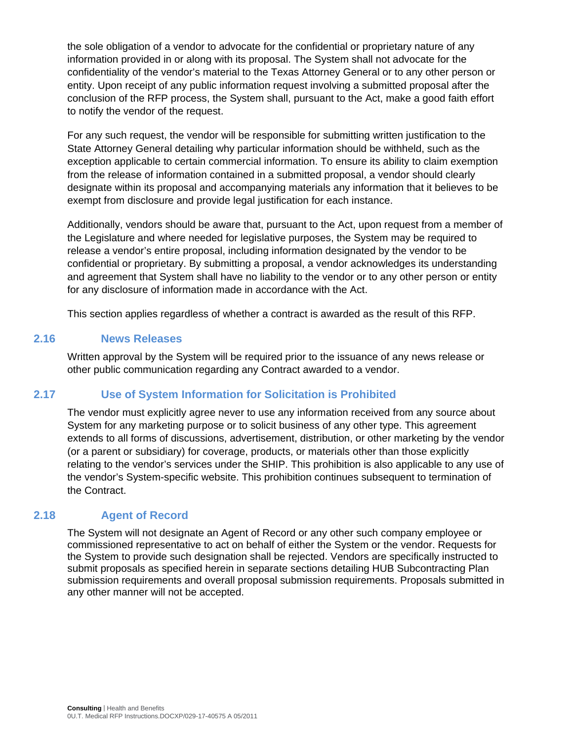the sole obligation of a vendor to advocate for the confidential or proprietary nature of any information provided in or along with its proposal. The System shall not advocate for the confidentiality of the vendor's material to the Texas Attorney General or to any other person or entity. Upon receipt of any public information request involving a submitted proposal after the conclusion of the RFP process, the System shall, pursuant to the Act, make a good faith effort to notify the vendor of the request.

For any such request, the vendor will be responsible for submitting written justification to the State Attorney General detailing why particular information should be withheld, such as the exception applicable to certain commercial information. To ensure its ability to claim exemption from the release of information contained in a submitted proposal, a vendor should clearly designate within its proposal and accompanying materials any information that it believes to be exempt from disclosure and provide legal justification for each instance.

Additionally, vendors should be aware that, pursuant to the Act, upon request from a member of the Legislature and where needed for legislative purposes, the System may be required to release a vendor's entire proposal, including information designated by the vendor to be confidential or proprietary. By submitting a proposal, a vendor acknowledges its understanding and agreement that System shall have no liability to the vendor or to any other person or entity for any disclosure of information made in accordance with the Act.

This section applies regardless of whether a contract is awarded as the result of this RFP.

### **2.16 News Releases**

Written approval by the System will be required prior to the issuance of any news release or other public communication regarding any Contract awarded to a vendor.

### **2.17 Use of System Information for Solicitation is Prohibited**

The vendor must explicitly agree never to use any information received from any source about System for any marketing purpose or to solicit business of any other type. This agreement extends to all forms of discussions, advertisement, distribution, or other marketing by the vendor (or a parent or subsidiary) for coverage, products, or materials other than those explicitly relating to the vendor's services under the SHIP. This prohibition is also applicable to any use of the vendor's System-specific website. This prohibition continues subsequent to termination of the Contract.

### **2.18 Agent of Record**

The System will not designate an Agent of Record or any other such company employee or commissioned representative to act on behalf of either the System or the vendor. Requests for the System to provide such designation shall be rejected. Vendors are specifically instructed to submit proposals as specified herein in separate sections detailing HUB Subcontracting Plan submission requirements and overall proposal submission requirements. Proposals submitted in any other manner will not be accepted.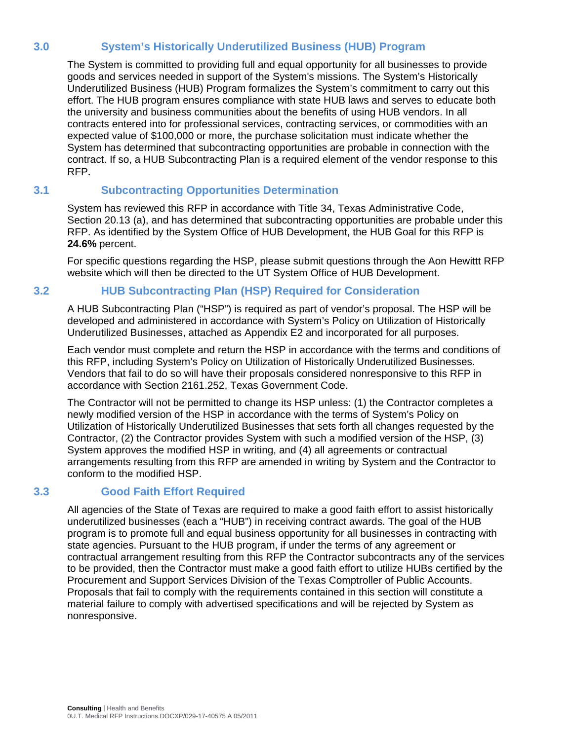# **3.0 System's Historically Underutilized Business (HUB) Program**

The System is committed to providing full and equal opportunity for all businesses to provide goods and services needed in support of the System's missions. The System's Historically Underutilized Business (HUB) Program formalizes the System's commitment to carry out this effort. The HUB program ensures compliance with state HUB laws and serves to educate both the university and business communities about the benefits of using HUB vendors. In all contracts entered into for professional services, contracting services, or commodities with an expected value of \$100,000 or more, the purchase solicitation must indicate whether the System has determined that subcontracting opportunities are probable in connection with the contract. If so, a HUB Subcontracting Plan is a required element of the vendor response to this RFP.

# **3.1 Subcontracting Opportunities Determination**

System has reviewed this RFP in accordance with Title 34, Texas Administrative Code, Section 20.13 (a), and has determined that subcontracting opportunities are probable under this RFP. As identified by the System Office of HUB Development, the HUB Goal for this RFP is **24.6%** percent.

For specific questions regarding the HSP, please submit questions through the Aon Hewittt RFP website which will then be directed to the UT System Office of HUB Development.

# **3.2 HUB Subcontracting Plan (HSP) Required for Consideration**

A HUB Subcontracting Plan ("HSP") is required as part of vendor's proposal. The HSP will be developed and administered in accordance with System's Policy on Utilization of Historically Underutilized Businesses, attached as Appendix E2 and incorporated for all purposes.

Each vendor must complete and return the HSP in accordance with the terms and conditions of this RFP, including System's Policy on Utilization of Historically Underutilized Businesses. Vendors that fail to do so will have their proposals considered nonresponsive to this RFP in accordance with Section 2161.252, Texas Government Code.

The Contractor will not be permitted to change its HSP unless: (1) the Contractor completes a newly modified version of the HSP in accordance with the terms of System's Policy on Utilization of Historically Underutilized Businesses that sets forth all changes requested by the Contractor, (2) the Contractor provides System with such a modified version of the HSP, (3) System approves the modified HSP in writing, and (4) all agreements or contractual arrangements resulting from this RFP are amended in writing by System and the Contractor to conform to the modified HSP.

# **3.3 Good Faith Effort Required**

All agencies of the State of Texas are required to make a good faith effort to assist historically underutilized businesses (each a "HUB") in receiving contract awards. The goal of the HUB program is to promote full and equal business opportunity for all businesses in contracting with state agencies. Pursuant to the HUB program, if under the terms of any agreement or contractual arrangement resulting from this RFP the Contractor subcontracts any of the services to be provided, then the Contractor must make a good faith effort to utilize HUBs certified by the Procurement and Support Services Division of the Texas Comptroller of Public Accounts. Proposals that fail to comply with the requirements contained in this section will constitute a material failure to comply with advertised specifications and will be rejected by System as nonresponsive.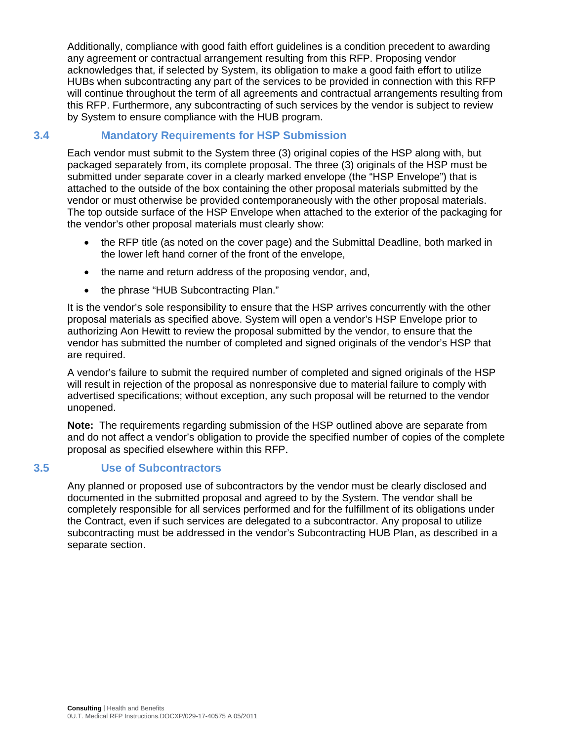Additionally, compliance with good faith effort guidelines is a condition precedent to awarding any agreement or contractual arrangement resulting from this RFP. Proposing vendor acknowledges that, if selected by System, its obligation to make a good faith effort to utilize HUBs when subcontracting any part of the services to be provided in connection with this RFP will continue throughout the term of all agreements and contractual arrangements resulting from this RFP. Furthermore, any subcontracting of such services by the vendor is subject to review by System to ensure compliance with the HUB program.

# **3.4 Mandatory Requirements for HSP Submission**

Each vendor must submit to the System three (3) original copies of the HSP along with, but packaged separately from, its complete proposal. The three (3) originals of the HSP must be submitted under separate cover in a clearly marked envelope (the "HSP Envelope") that is attached to the outside of the box containing the other proposal materials submitted by the vendor or must otherwise be provided contemporaneously with the other proposal materials. The top outside surface of the HSP Envelope when attached to the exterior of the packaging for the vendor's other proposal materials must clearly show:

- the RFP title (as noted on the cover page) and the Submittal Deadline, both marked in the lower left hand corner of the front of the envelope,
- the name and return address of the proposing vendor, and,
- the phrase "HUB Subcontracting Plan."

It is the vendor's sole responsibility to ensure that the HSP arrives concurrently with the other proposal materials as specified above. System will open a vendor's HSP Envelope prior to authorizing Aon Hewitt to review the proposal submitted by the vendor, to ensure that the vendor has submitted the number of completed and signed originals of the vendor's HSP that are required.

A vendor's failure to submit the required number of completed and signed originals of the HSP will result in rejection of the proposal as nonresponsive due to material failure to comply with advertised specifications; without exception, any such proposal will be returned to the vendor unopened.

**Note:** The requirements regarding submission of the HSP outlined above are separate from and do not affect a vendor's obligation to provide the specified number of copies of the complete proposal as specified elsewhere within this RFP.

### **3.5 Use of Subcontractors**

Any planned or proposed use of subcontractors by the vendor must be clearly disclosed and documented in the submitted proposal and agreed to by the System. The vendor shall be completely responsible for all services performed and for the fulfillment of its obligations under the Contract, even if such services are delegated to a subcontractor. Any proposal to utilize subcontracting must be addressed in the vendor's Subcontracting HUB Plan, as described in a separate section.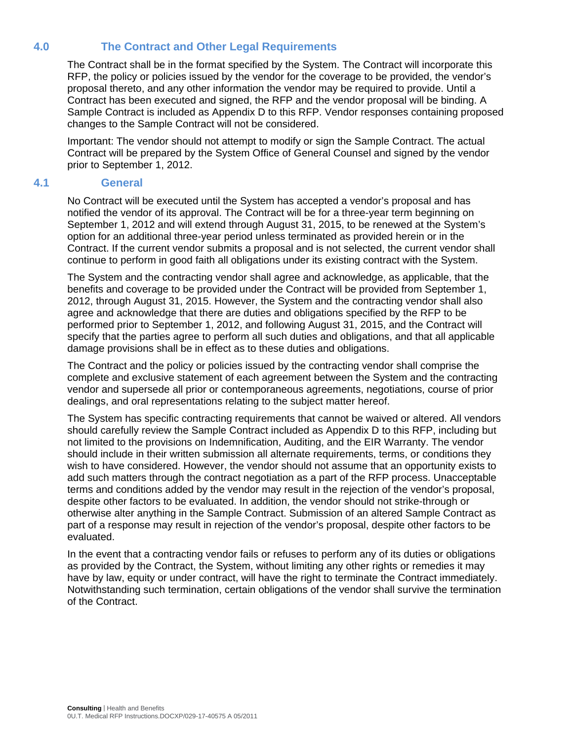# **4.0 The Contract and Other Legal Requirements**

The Contract shall be in the format specified by the System. The Contract will incorporate this RFP, the policy or policies issued by the vendor for the coverage to be provided, the vendor's proposal thereto, and any other information the vendor may be required to provide. Until a Contract has been executed and signed, the RFP and the vendor proposal will be binding. A Sample Contract is included as Appendix D to this RFP. Vendor responses containing proposed changes to the Sample Contract will not be considered.

Important: The vendor should not attempt to modify or sign the Sample Contract. The actual Contract will be prepared by the System Office of General Counsel and signed by the vendor prior to September 1, 2012.

### **4.1 General**

No Contract will be executed until the System has accepted a vendor's proposal and has notified the vendor of its approval. The Contract will be for a three-year term beginning on September 1, 2012 and will extend through August 31, 2015, to be renewed at the System's option for an additional three-year period unless terminated as provided herein or in the Contract. If the current vendor submits a proposal and is not selected, the current vendor shall continue to perform in good faith all obligations under its existing contract with the System.

The System and the contracting vendor shall agree and acknowledge, as applicable, that the benefits and coverage to be provided under the Contract will be provided from September 1, 2012, through August 31, 2015. However, the System and the contracting vendor shall also agree and acknowledge that there are duties and obligations specified by the RFP to be performed prior to September 1, 2012, and following August 31, 2015, and the Contract will specify that the parties agree to perform all such duties and obligations, and that all applicable damage provisions shall be in effect as to these duties and obligations.

The Contract and the policy or policies issued by the contracting vendor shall comprise the complete and exclusive statement of each agreement between the System and the contracting vendor and supersede all prior or contemporaneous agreements, negotiations, course of prior dealings, and oral representations relating to the subject matter hereof.

The System has specific contracting requirements that cannot be waived or altered. All vendors should carefully review the Sample Contract included as Appendix D to this RFP, including but not limited to the provisions on Indemnification, Auditing, and the EIR Warranty. The vendor should include in their written submission all alternate requirements, terms, or conditions they wish to have considered. However, the vendor should not assume that an opportunity exists to add such matters through the contract negotiation as a part of the RFP process. Unacceptable terms and conditions added by the vendor may result in the rejection of the vendor's proposal, despite other factors to be evaluated. In addition, the vendor should not strike-through or otherwise alter anything in the Sample Contract. Submission of an altered Sample Contract as part of a response may result in rejection of the vendor's proposal, despite other factors to be evaluated.

In the event that a contracting vendor fails or refuses to perform any of its duties or obligations as provided by the Contract, the System, without limiting any other rights or remedies it may have by law, equity or under contract, will have the right to terminate the Contract immediately. Notwithstanding such termination, certain obligations of the vendor shall survive the termination of the Contract.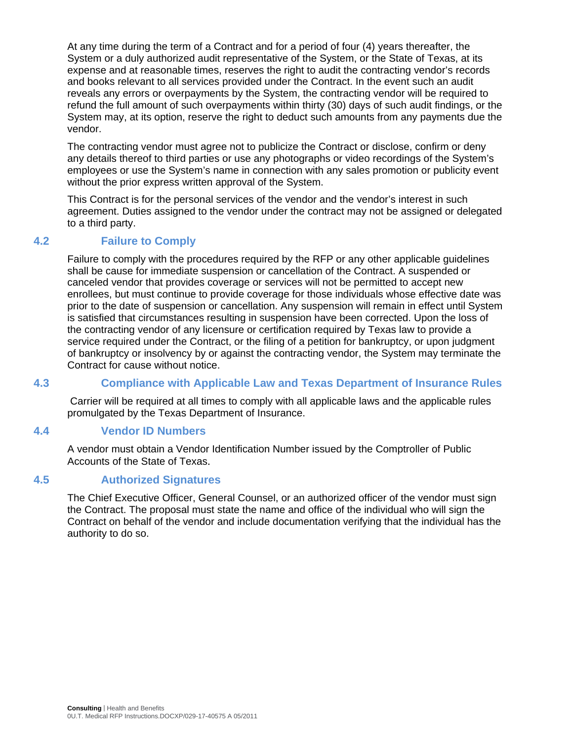At any time during the term of a Contract and for a period of four (4) years thereafter, the System or a duly authorized audit representative of the System, or the State of Texas, at its expense and at reasonable times, reserves the right to audit the contracting vendor's records and books relevant to all services provided under the Contract. In the event such an audit reveals any errors or overpayments by the System, the contracting vendor will be required to refund the full amount of such overpayments within thirty (30) days of such audit findings, or the System may, at its option, reserve the right to deduct such amounts from any payments due the vendor.

The contracting vendor must agree not to publicize the Contract or disclose, confirm or deny any details thereof to third parties or use any photographs or video recordings of the System's employees or use the System's name in connection with any sales promotion or publicity event without the prior express written approval of the System.

This Contract is for the personal services of the vendor and the vendor's interest in such agreement. Duties assigned to the vendor under the contract may not be assigned or delegated to a third party.

# **4.2 Failure to Comply**

Failure to comply with the procedures required by the RFP or any other applicable guidelines shall be cause for immediate suspension or cancellation of the Contract. A suspended or canceled vendor that provides coverage or services will not be permitted to accept new enrollees, but must continue to provide coverage for those individuals whose effective date was prior to the date of suspension or cancellation. Any suspension will remain in effect until System is satisfied that circumstances resulting in suspension have been corrected. Upon the loss of the contracting vendor of any licensure or certification required by Texas law to provide a service required under the Contract, or the filing of a petition for bankruptcy, or upon judgment of bankruptcy or insolvency by or against the contracting vendor, the System may terminate the Contract for cause without notice.

### **4.3 Compliance with Applicable Law and Texas Department of Insurance Rules**

Carrier will be required at all times to comply with all applicable laws and the applicable rules promulgated by the Texas Department of Insurance.

#### **4.4 Vendor ID Numbers**

A vendor must obtain a Vendor Identification Number issued by the Comptroller of Public Accounts of the State of Texas.

#### **4.5 Authorized Signatures**

The Chief Executive Officer, General Counsel, or an authorized officer of the vendor must sign the Contract. The proposal must state the name and office of the individual who will sign the Contract on behalf of the vendor and include documentation verifying that the individual has the authority to do so.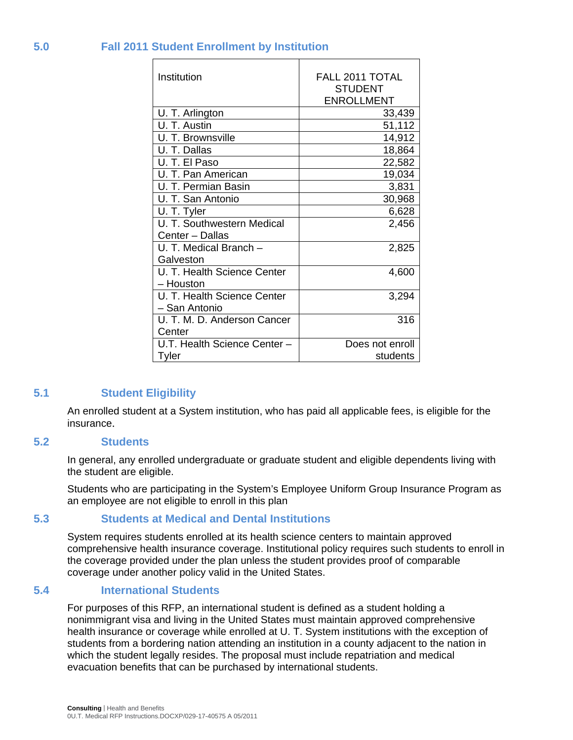| Institution                  | FALL 2011 TOTAL   |
|------------------------------|-------------------|
|                              | <b>STUDENT</b>    |
|                              | <b>ENROLLMENT</b> |
| U. T. Arlington              | 33,439            |
| U. T. Austin                 | 51,112            |
| U. T. Brownsville            | 14,912            |
| U. T. Dallas                 | 18,864            |
| U. T. El Paso                | 22,582            |
| U. T. Pan American           | 19,034            |
| U. T. Permian Basin          | 3,831             |
| U. T. San Antonio            | 30,968            |
| U. T. Tyler                  | 6,628             |
| U. T. Southwestern Medical   | 2,456             |
| Center - Dallas              |                   |
| U. T. Medical Branch -       | 2,825             |
| Galveston                    |                   |
| U. T. Health Science Center  | 4,600             |
| – Houston                    |                   |
| U. T. Health Science Center  | 3,294             |
| - San Antonio                |                   |
| U. T. M. D. Anderson Cancer  | 316               |
| Center                       |                   |
| U.T. Health Science Center - | Does not enroll   |
| Tyler                        | students          |

### **5.0 Fall 2011 Student Enrollment by Institution**

#### **5.1 Student Eligibility**

An enrolled student at a System institution, who has paid all applicable fees, is eligible for the insurance.

#### **5.2 Students**

In general, any enrolled undergraduate or graduate student and eligible dependents living with the student are eligible.

Students who are participating in the System's Employee Uniform Group Insurance Program as an employee are not eligible to enroll in this plan

#### **5.3 Students at Medical and Dental Institutions**

System requires students enrolled at its health science centers to maintain approved comprehensive health insurance coverage. Institutional policy requires such students to enroll in the coverage provided under the plan unless the student provides proof of comparable coverage under another policy valid in the United States.

#### **5.4 International Students**

For purposes of this RFP, an international student is defined as a student holding a nonimmigrant visa and living in the United States must maintain approved comprehensive health insurance or coverage while enrolled at U. T. System institutions with the exception of students from a bordering nation attending an institution in a county adjacent to the nation in which the student legally resides. The proposal must include repatriation and medical evacuation benefits that can be purchased by international students.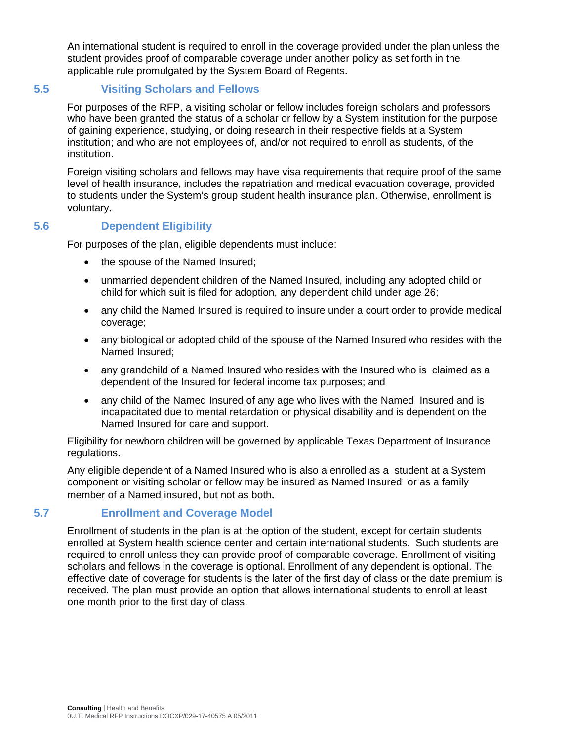An international student is required to enroll in the coverage provided under the plan unless the student provides proof of comparable coverage under another policy as set forth in the applicable rule promulgated by the System Board of Regents.

# **5.5 Visiting Scholars and Fellows**

For purposes of the RFP, a visiting scholar or fellow includes foreign scholars and professors who have been granted the status of a scholar or fellow by a System institution for the purpose of gaining experience, studying, or doing research in their respective fields at a System institution; and who are not employees of, and/or not required to enroll as students, of the institution.

Foreign visiting scholars and fellows may have visa requirements that require proof of the same level of health insurance, includes the repatriation and medical evacuation coverage, provided to students under the System's group student health insurance plan. Otherwise, enrollment is voluntary.

# **5.6 Dependent Eligibility**

For purposes of the plan, eligible dependents must include:

- the spouse of the Named Insured;
- unmarried dependent children of the Named Insured, including any adopted child or child for which suit is filed for adoption, any dependent child under age 26;
- any child the Named Insured is required to insure under a court order to provide medical coverage;
- any biological or adopted child of the spouse of the Named Insured who resides with the Named Insured;
- any grandchild of a Named Insured who resides with the Insured who is claimed as a dependent of the Insured for federal income tax purposes; and
- any child of the Named Insured of any age who lives with the Named Insured and is incapacitated due to mental retardation or physical disability and is dependent on the Named Insured for care and support.

Eligibility for newborn children will be governed by applicable Texas Department of Insurance regulations.

Any eligible dependent of a Named Insured who is also a enrolled as a student at a System component or visiting scholar or fellow may be insured as Named Insured or as a family member of a Named insured, but not as both.

### **5.7 Enrollment and Coverage Model**

Enrollment of students in the plan is at the option of the student, except for certain students enrolled at System health science center and certain international students. Such students are required to enroll unless they can provide proof of comparable coverage. Enrollment of visiting scholars and fellows in the coverage is optional. Enrollment of any dependent is optional. The effective date of coverage for students is the later of the first day of class or the date premium is received. The plan must provide an option that allows international students to enroll at least one month prior to the first day of class.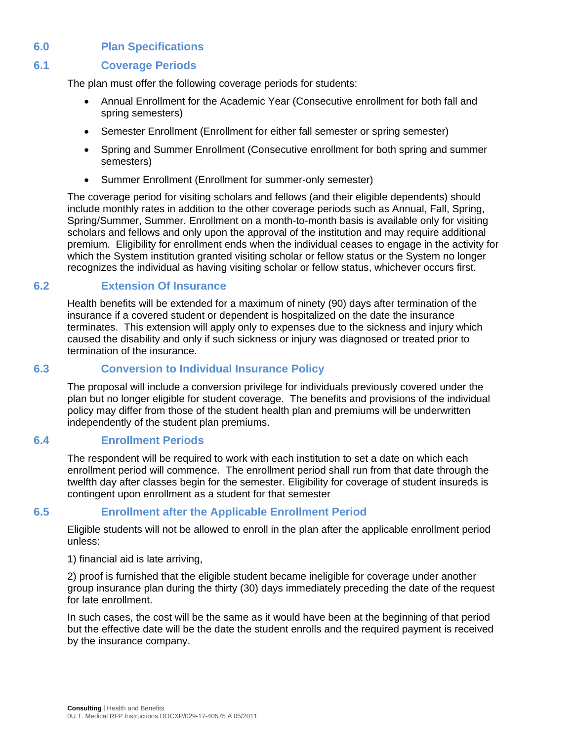# **6.0 Plan Specifications**

### **6.1 Coverage Periods**

The plan must offer the following coverage periods for students:

- Annual Enrollment for the Academic Year (Consecutive enrollment for both fall and spring semesters)
- Semester Enrollment (Enrollment for either fall semester or spring semester)
- Spring and Summer Enrollment (Consecutive enrollment for both spring and summer semesters)
- Summer Enrollment (Enrollment for summer-only semester)

The coverage period for visiting scholars and fellows (and their eligible dependents) should include monthly rates in addition to the other coverage periods such as Annual, Fall, Spring, Spring/Summer, Summer. Enrollment on a month-to-month basis is available only for visiting scholars and fellows and only upon the approval of the institution and may require additional premium. Eligibility for enrollment ends when the individual ceases to engage in the activity for which the System institution granted visiting scholar or fellow status or the System no longer recognizes the individual as having visiting scholar or fellow status, whichever occurs first.

### **6.2 Extension Of Insurance**

Health benefits will be extended for a maximum of ninety (90) days after termination of the insurance if a covered student or dependent is hospitalized on the date the insurance terminates. This extension will apply only to expenses due to the sickness and injury which caused the disability and only if such sickness or injury was diagnosed or treated prior to termination of the insurance.

#### **6.3 Conversion to Individual Insurance Policy**

The proposal will include a conversion privilege for individuals previously covered under the plan but no longer eligible for student coverage. The benefits and provisions of the individual policy may differ from those of the student health plan and premiums will be underwritten independently of the student plan premiums.

#### **6.4 Enrollment Periods**

The respondent will be required to work with each institution to set a date on which each enrollment period will commence. The enrollment period shall run from that date through the twelfth day after classes begin for the semester. Eligibility for coverage of student insureds is contingent upon enrollment as a student for that semester

### **6.5 Enrollment after the Applicable Enrollment Period**

Eligible students will not be allowed to enroll in the plan after the applicable enrollment period unless:

1) financial aid is late arriving,

2) proof is furnished that the eligible student became ineligible for coverage under another group insurance plan during the thirty (30) days immediately preceding the date of the request for late enrollment.

In such cases, the cost will be the same as it would have been at the beginning of that period but the effective date will be the date the student enrolls and the required payment is received by the insurance company.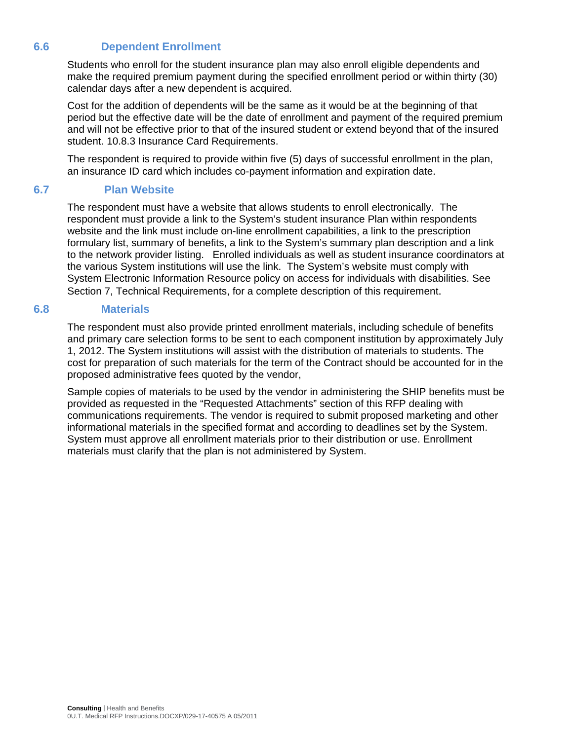# **6.6 Dependent Enrollment**

Students who enroll for the student insurance plan may also enroll eligible dependents and make the required premium payment during the specified enrollment period or within thirty (30) calendar days after a new dependent is acquired.

Cost for the addition of dependents will be the same as it would be at the beginning of that period but the effective date will be the date of enrollment and payment of the required premium and will not be effective prior to that of the insured student or extend beyond that of the insured student. 10.8.3 Insurance Card Requirements.

The respondent is required to provide within five (5) days of successful enrollment in the plan, an insurance ID card which includes co-payment information and expiration date.

### **6.7 Plan Website**

The respondent must have a website that allows students to enroll electronically. The respondent must provide a link to the System's student insurance Plan within respondents website and the link must include on-line enrollment capabilities, a link to the prescription formulary list, summary of benefits, a link to the System's summary plan description and a link to the network provider listing. Enrolled individuals as well as student insurance coordinators at the various System institutions will use the link. The System's website must comply with System Electronic Information Resource policy on access for individuals with disabilities. See Section 7, Technical Requirements, for a complete description of this requirement.

#### **6.8 Materials**

The respondent must also provide printed enrollment materials, including schedule of benefits and primary care selection forms to be sent to each component institution by approximately July 1, 2012. The System institutions will assist with the distribution of materials to students. The cost for preparation of such materials for the term of the Contract should be accounted for in the proposed administrative fees quoted by the vendor,

Sample copies of materials to be used by the vendor in administering the SHIP benefits must be provided as requested in the "Requested Attachments" section of this RFP dealing with communications requirements. The vendor is required to submit proposed marketing and other informational materials in the specified format and according to deadlines set by the System. System must approve all enrollment materials prior to their distribution or use. Enrollment materials must clarify that the plan is not administered by System.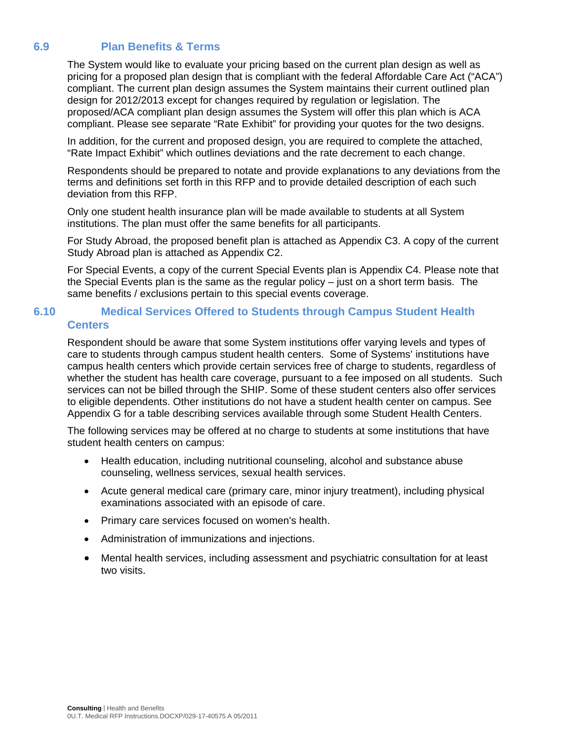### **6.9 Plan Benefits & Terms**

The System would like to evaluate your pricing based on the current plan design as well as pricing for a proposed plan design that is compliant with the federal Affordable Care Act ("ACA") compliant. The current plan design assumes the System maintains their current outlined plan design for 2012/2013 except for changes required by regulation or legislation. The proposed/ACA compliant plan design assumes the System will offer this plan which is ACA compliant. Please see separate "Rate Exhibit" for providing your quotes for the two designs.

In addition, for the current and proposed design, you are required to complete the attached, "Rate Impact Exhibit" which outlines deviations and the rate decrement to each change.

Respondents should be prepared to notate and provide explanations to any deviations from the terms and definitions set forth in this RFP and to provide detailed description of each such deviation from this RFP.

Only one student health insurance plan will be made available to students at all System institutions. The plan must offer the same benefits for all participants.

For Study Abroad, the proposed benefit plan is attached as Appendix C3. A copy of the current Study Abroad plan is attached as Appendix C2.

For Special Events, a copy of the current Special Events plan is Appendix C4. Please note that the Special Events plan is the same as the regular policy – just on a short term basis. The same benefits / exclusions pertain to this special events coverage.

### **6.10 Medical Services Offered to Students through Campus Student Health Centers**

Respondent should be aware that some System institutions offer varying levels and types of care to students through campus student health centers. Some of Systems' institutions have campus health centers which provide certain services free of charge to students, regardless of whether the student has health care coverage, pursuant to a fee imposed on all students. Such services can not be billed through the SHIP. Some of these student centers also offer services to eligible dependents. Other institutions do not have a student health center on campus. See Appendix G for a table describing services available through some Student Health Centers.

The following services may be offered at no charge to students at some institutions that have student health centers on campus:

- Health education, including nutritional counseling, alcohol and substance abuse counseling, wellness services, sexual health services.
- Acute general medical care (primary care, minor injury treatment), including physical examinations associated with an episode of care.
- Primary care services focused on women's health.
- Administration of immunizations and injections.
- Mental health services, including assessment and psychiatric consultation for at least two visits.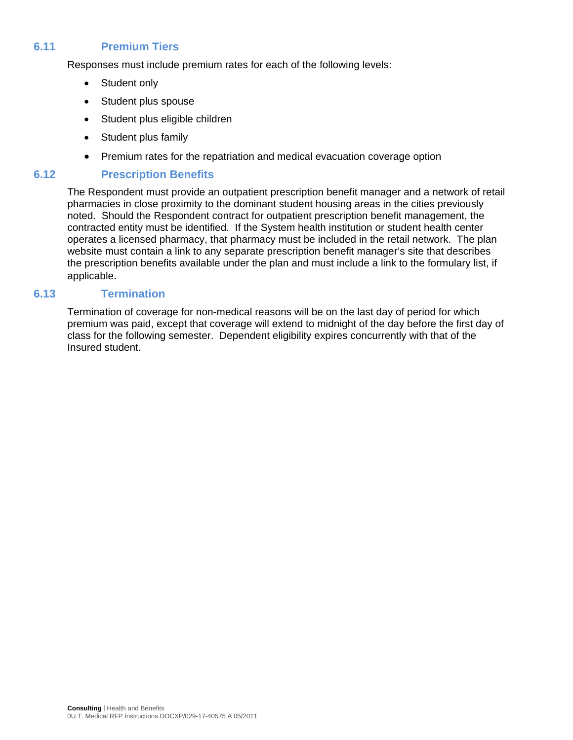### **6.11 Premium Tiers**

Responses must include premium rates for each of the following levels:

- Student only
- Student plus spouse
- Student plus eligible children
- Student plus family
- Premium rates for the repatriation and medical evacuation coverage option

### **6.12 Prescription Benefits**

The Respondent must provide an outpatient prescription benefit manager and a network of retail pharmacies in close proximity to the dominant student housing areas in the cities previously noted. Should the Respondent contract for outpatient prescription benefit management, the contracted entity must be identified. If the System health institution or student health center operates a licensed pharmacy, that pharmacy must be included in the retail network. The plan website must contain a link to any separate prescription benefit manager's site that describes the prescription benefits available under the plan and must include a link to the formulary list, if applicable.

### **6.13 Termination**

Termination of coverage for non-medical reasons will be on the last day of period for which premium was paid, except that coverage will extend to midnight of the day before the first day of class for the following semester. Dependent eligibility expires concurrently with that of the Insured student.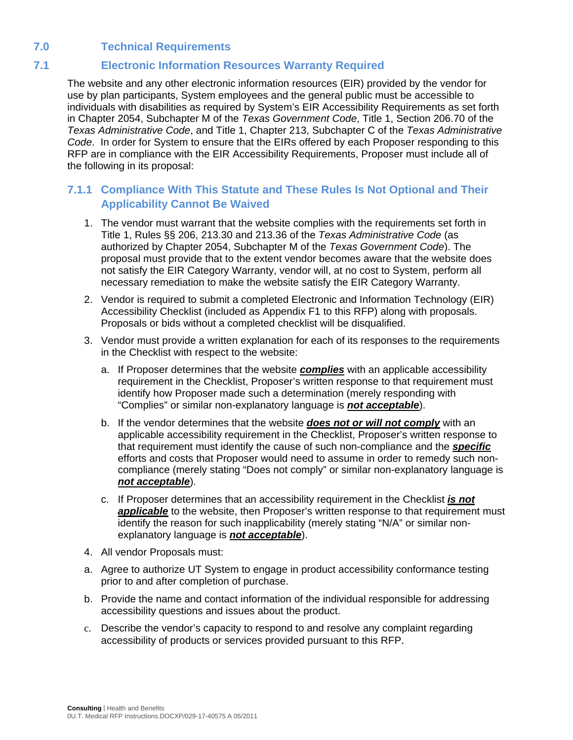# **7.0 Technical Requirements**

# **7.1 Electronic Information Resources Warranty Required**

The website and any other electronic information resources (EIR) provided by the vendor for use by plan participants, System employees and the general public must be accessible to individuals with disabilities as required by System's EIR Accessibility Requirements as set forth in Chapter 2054, Subchapter M of the *Texas Government Code*, Title 1, Section 206.70 of the *Texas Administrative Code*, and Title 1, Chapter 213, Subchapter C of the *Texas Administrative Code*. In order for System to ensure that the EIRs offered by each Proposer responding to this RFP are in compliance with the EIR Accessibility Requirements, Proposer must include all of the following in its proposal:

# **7.1.1 Compliance With This Statute and These Rules Is Not Optional and Their Applicability Cannot Be Waived**

- 1. The vendor must warrant that the website complies with the requirements set forth in Title 1, Rules §§ 206, 213.30 and 213.36 of the *Texas Administrative Code* (as authorized by Chapter 2054, Subchapter M of the *Texas Government Code*). The proposal must provide that to the extent vendor becomes aware that the website does not satisfy the EIR Category Warranty, vendor will, at no cost to System, perform all necessary remediation to make the website satisfy the EIR Category Warranty.
- 2. Vendor is required to submit a completed Electronic and Information Technology (EIR) Accessibility Checklist (included as Appendix F1 to this RFP) along with proposals. Proposals or bids without a completed checklist will be disqualified.
- 3. Vendor must provide a written explanation for each of its responses to the requirements in the Checklist with respect to the website:
	- a. If Proposer determines that the website *complies* with an applicable accessibility requirement in the Checklist, Proposer's written response to that requirement must identify how Proposer made such a determination (merely responding with "Complies" or similar non-explanatory language is *not acceptable*).
	- b. If the vendor determines that the website *does not or will not comply* with an applicable accessibility requirement in the Checklist, Proposer's written response to that requirement must identify the cause of such non-compliance and the *specific* efforts and costs that Proposer would need to assume in order to remedy such noncompliance (merely stating "Does not comply" or similar non-explanatory language is *not acceptable*).
	- c. If Proposer determines that an accessibility requirement in the Checklist *is not*  **applicable** to the website, then Proposer's written response to that requirement must identify the reason for such inapplicability (merely stating "N/A" or similar nonexplanatory language is *not acceptable*).
- 4. All vendor Proposals must:
- a. Agree to authorize UT System to engage in product accessibility conformance testing prior to and after completion of purchase.
- b. Provide the name and contact information of the individual responsible for addressing accessibility questions and issues about the product.
- c. Describe the vendor's capacity to respond to and resolve any complaint regarding accessibility of products or services provided pursuant to this RFP.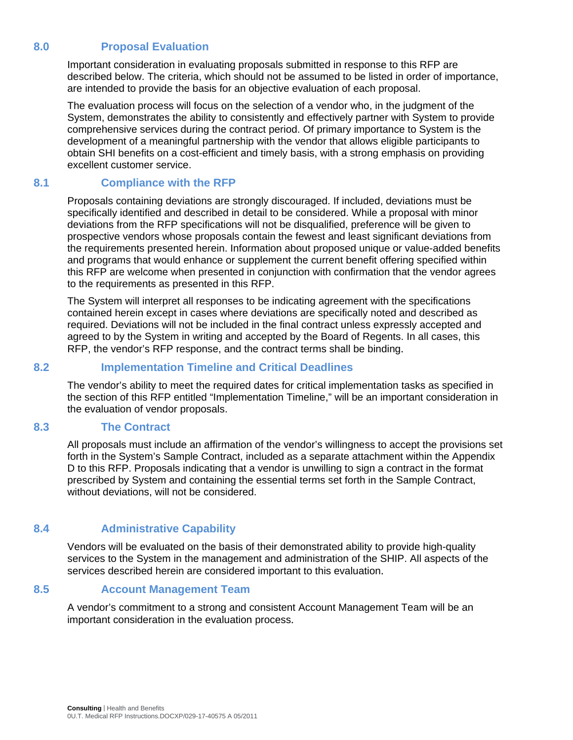# **8.0 Proposal Evaluation**

Important consideration in evaluating proposals submitted in response to this RFP are described below. The criteria, which should not be assumed to be listed in order of importance, are intended to provide the basis for an objective evaluation of each proposal.

The evaluation process will focus on the selection of a vendor who, in the judgment of the System, demonstrates the ability to consistently and effectively partner with System to provide comprehensive services during the contract period. Of primary importance to System is the development of a meaningful partnership with the vendor that allows eligible participants to obtain SHI benefits on a cost-efficient and timely basis, with a strong emphasis on providing excellent customer service.

### **8.1 Compliance with the RFP**

Proposals containing deviations are strongly discouraged. If included, deviations must be specifically identified and described in detail to be considered. While a proposal with minor deviations from the RFP specifications will not be disqualified, preference will be given to prospective vendors whose proposals contain the fewest and least significant deviations from the requirements presented herein. Information about proposed unique or value-added benefits and programs that would enhance or supplement the current benefit offering specified within this RFP are welcome when presented in conjunction with confirmation that the vendor agrees to the requirements as presented in this RFP.

The System will interpret all responses to be indicating agreement with the specifications contained herein except in cases where deviations are specifically noted and described as required. Deviations will not be included in the final contract unless expressly accepted and agreed to by the System in writing and accepted by the Board of Regents. In all cases, this RFP, the vendor's RFP response, and the contract terms shall be binding.

### **8.2 Implementation Timeline and Critical Deadlines**

The vendor's ability to meet the required dates for critical implementation tasks as specified in the section of this RFP entitled "Implementation Timeline," will be an important consideration in the evaluation of vendor proposals.

#### **8.3 The Contract**

All proposals must include an affirmation of the vendor's willingness to accept the provisions set forth in the System's Sample Contract, included as a separate attachment within the Appendix D to this RFP. Proposals indicating that a vendor is unwilling to sign a contract in the format prescribed by System and containing the essential terms set forth in the Sample Contract, without deviations, will not be considered.

### **8.4 Administrative Capability**

Vendors will be evaluated on the basis of their demonstrated ability to provide high-quality services to the System in the management and administration of the SHIP. All aspects of the services described herein are considered important to this evaluation.

#### **8.5 Account Management Team**

A vendor's commitment to a strong and consistent Account Management Team will be an important consideration in the evaluation process.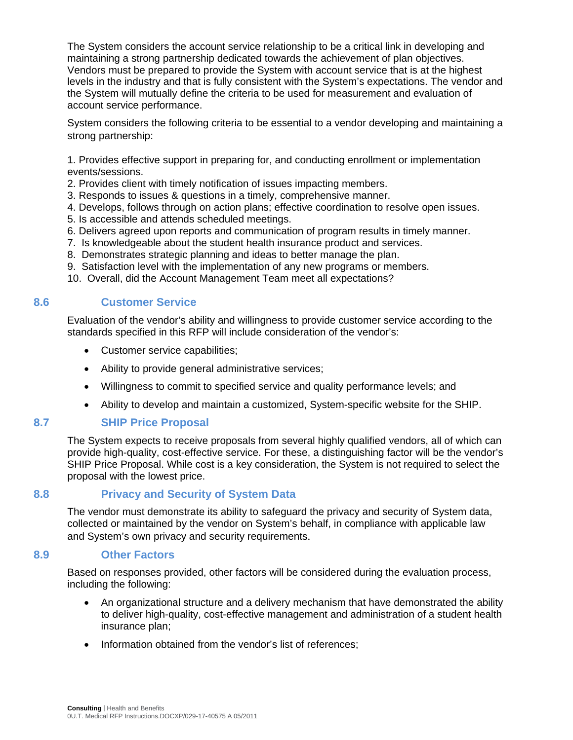The System considers the account service relationship to be a critical link in developing and maintaining a strong partnership dedicated towards the achievement of plan objectives. Vendors must be prepared to provide the System with account service that is at the highest levels in the industry and that is fully consistent with the System's expectations. The vendor and the System will mutually define the criteria to be used for measurement and evaluation of account service performance.

System considers the following criteria to be essential to a vendor developing and maintaining a strong partnership:

1. Provides effective support in preparing for, and conducting enrollment or implementation events/sessions.

- 2. Provides client with timely notification of issues impacting members.
- 3. Responds to issues & questions in a timely, comprehensive manner.
- 4. Develops, follows through on action plans; effective coordination to resolve open issues.
- 5. Is accessible and attends scheduled meetings.
- 6. Delivers agreed upon reports and communication of program results in timely manner.
- 7. Is knowledgeable about the student health insurance product and services.
- 8. Demonstrates strategic planning and ideas to better manage the plan.
- 9. Satisfaction level with the implementation of any new programs or members.
- 10. Overall, did the Account Management Team meet all expectations?

#### **8.6 Customer Service**

Evaluation of the vendor's ability and willingness to provide customer service according to the standards specified in this RFP will include consideration of the vendor's:

- Customer service capabilities;
- Ability to provide general administrative services;
- Willingness to commit to specified service and quality performance levels; and
- Ability to develop and maintain a customized, System-specific website for the SHIP.

#### **8.7 SHIP Price Proposal**

The System expects to receive proposals from several highly qualified vendors, all of which can provide high-quality, cost-effective service. For these, a distinguishing factor will be the vendor's SHIP Price Proposal. While cost is a key consideration, the System is not required to select the proposal with the lowest price.

#### **8.8 Privacy and Security of System Data**

The vendor must demonstrate its ability to safeguard the privacy and security of System data, collected or maintained by the vendor on System's behalf, in compliance with applicable law and System's own privacy and security requirements.

#### **8.9 Other Factors**

Based on responses provided, other factors will be considered during the evaluation process, including the following:

- An organizational structure and a delivery mechanism that have demonstrated the ability to deliver high-quality, cost-effective management and administration of a student health insurance plan;
- Information obtained from the vendor's list of references;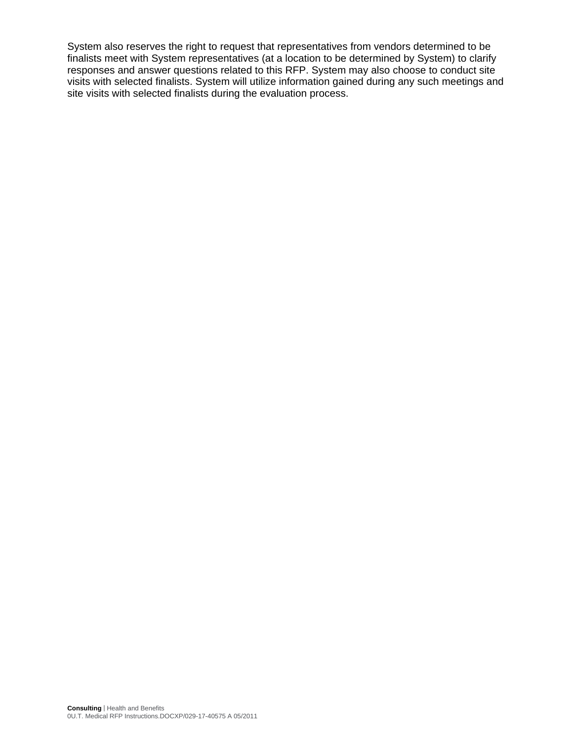System also reserves the right to request that representatives from vendors determined to be finalists meet with System representatives (at a location to be determined by System) to clarify responses and answer questions related to this RFP. System may also choose to conduct site visits with selected finalists. System will utilize information gained during any such meetings and site visits with selected finalists during the evaluation process.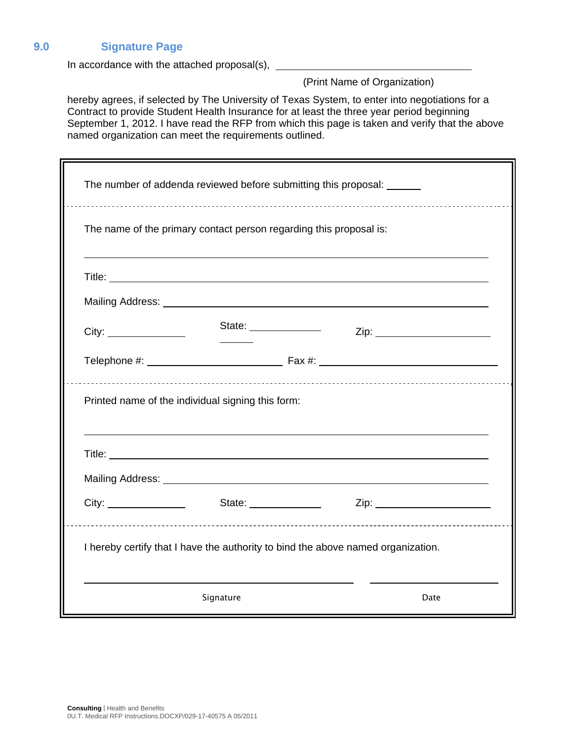### **9.0 Signature Page**

In accordance with the attached proposal(s),

(Print Name of Organization)

hereby agrees, if selected by The University of Texas System, to enter into negotiations for a Contract to provide Student Health Insurance for at least the three year period beginning September 1, 2012. I have read the RFP from which this page is taken and verify that the above named organization can meet the requirements outlined.

| The number of addenda reviewed before submitting this proposal: ______ |                                                                                  |  |                               |  |
|------------------------------------------------------------------------|----------------------------------------------------------------------------------|--|-------------------------------|--|
|                                                                        | The name of the primary contact person regarding this proposal is:               |  |                               |  |
|                                                                        |                                                                                  |  |                               |  |
|                                                                        |                                                                                  |  |                               |  |
|                                                                        | State: ______________                                                            |  | Zip: ________________________ |  |
|                                                                        |                                                                                  |  |                               |  |
|                                                                        | Printed name of the individual signing this form:                                |  |                               |  |
|                                                                        |                                                                                  |  |                               |  |
|                                                                        |                                                                                  |  | State: <u>Zip: Zip:</u> Zip:  |  |
|                                                                        | I hereby certify that I have the authority to bind the above named organization. |  |                               |  |